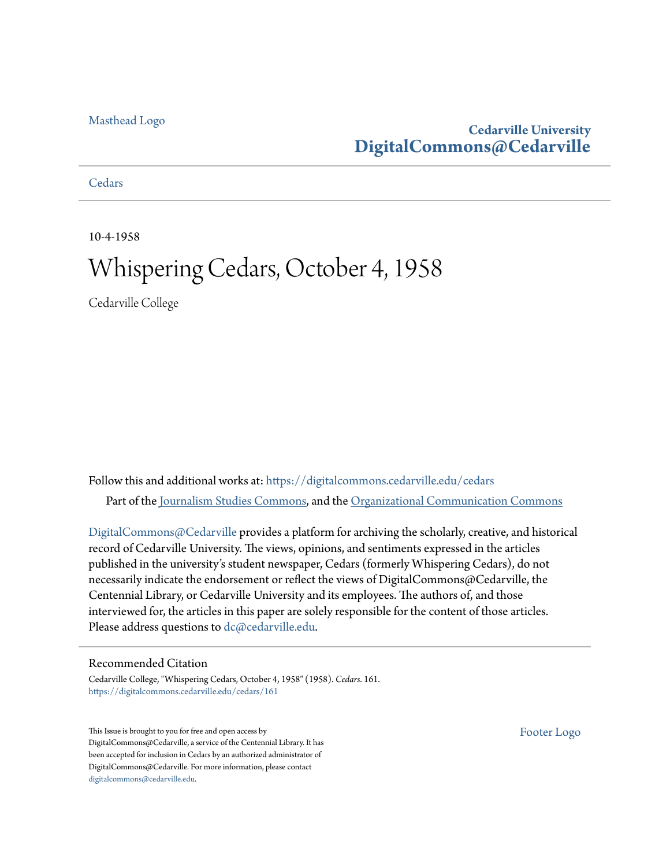#### [Masthead Logo](http://www.cedarville.edu/?utm_source=digitalcommons.cedarville.edu%2Fcedars%2F161&utm_medium=PDF&utm_campaign=PDFCoverPages)

## **Cedarville University [DigitalCommons@Cedarville](https://digitalcommons.cedarville.edu?utm_source=digitalcommons.cedarville.edu%2Fcedars%2F161&utm_medium=PDF&utm_campaign=PDFCoverPages)**

**[Cedars](https://digitalcommons.cedarville.edu/cedars?utm_source=digitalcommons.cedarville.edu%2Fcedars%2F161&utm_medium=PDF&utm_campaign=PDFCoverPages)** 

10-4-1958

# Whispering Cedars, October 4, 1958

Cedarville College

Follow this and additional works at: [https://digitalcommons.cedarville.edu/cedars](https://digitalcommons.cedarville.edu/cedars?utm_source=digitalcommons.cedarville.edu%2Fcedars%2F161&utm_medium=PDF&utm_campaign=PDFCoverPages) Part of the [Journalism Studies Commons](http://network.bepress.com/hgg/discipline/333?utm_source=digitalcommons.cedarville.edu%2Fcedars%2F161&utm_medium=PDF&utm_campaign=PDFCoverPages), and the [Organizational Communication Commons](http://network.bepress.com/hgg/discipline/335?utm_source=digitalcommons.cedarville.edu%2Fcedars%2F161&utm_medium=PDF&utm_campaign=PDFCoverPages)

[DigitalCommons@Cedarville](http://digitalcommons.cedarville.edu/) provides a platform for archiving the scholarly, creative, and historical record of Cedarville University. The views, opinions, and sentiments expressed in the articles published in the university's student newspaper, Cedars (formerly Whispering Cedars), do not necessarily indicate the endorsement or reflect the views of DigitalCommons@Cedarville, the Centennial Library, or Cedarville University and its employees. The authors of, and those interviewed for, the articles in this paper are solely responsible for the content of those articles. Please address questions to [dc@cedarville.edu.](mailto:dc@cedarville.edu)

#### Recommended Citation

Cedarville College, "Whispering Cedars, October 4, 1958" (1958). *Cedars*. 161. [https://digitalcommons.cedarville.edu/cedars/161](https://digitalcommons.cedarville.edu/cedars/161?utm_source=digitalcommons.cedarville.edu%2Fcedars%2F161&utm_medium=PDF&utm_campaign=PDFCoverPages)

This Issue is brought to you for free and open access by DigitalCommons@Cedarville, a service of the Centennial Library. It has been accepted for inclusion in Cedars by an authorized administrator of DigitalCommons@Cedarville. For more information, please contact [digitalcommons@cedarville.edu](mailto:digitalcommons@cedarville.edu).

[Footer Logo](http://www.cedarville.edu/Academics/Library.aspx?utm_source=digitalcommons.cedarville.edu%2Fcedars%2F161&utm_medium=PDF&utm_campaign=PDFCoverPages)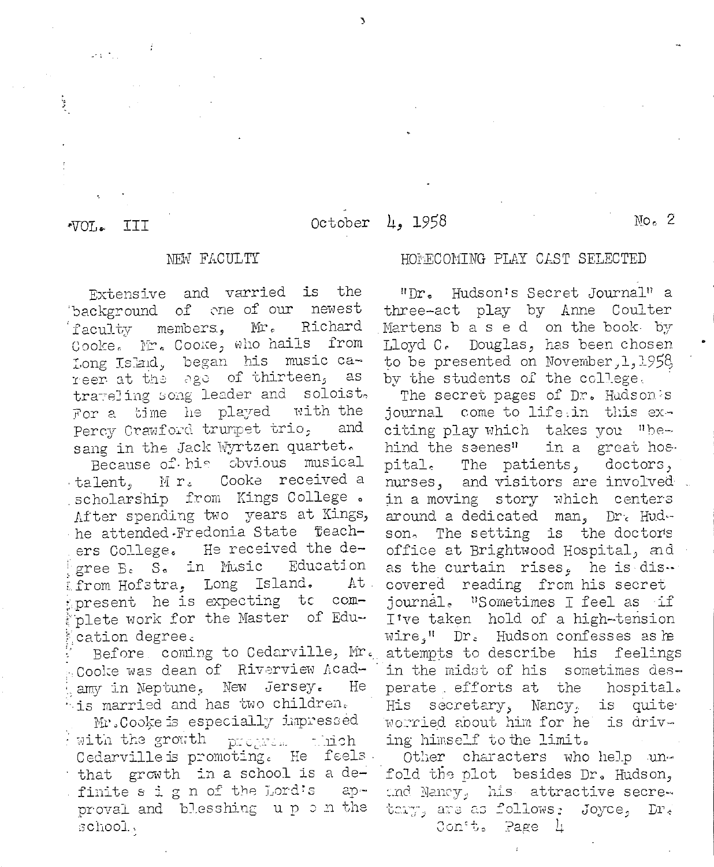#### III  $\overline{\text{VOL}}$

 $\omega_{\rm{B}}$  ,  $\omega_{\rm{B}}$ 

ţ

## NEW FACULTY

Extensive and varried is the background of one of our newest faculty members, Mr. Richard Cooke. Mr. Cooke, who hails from Long Island, began his music career at the age of thirteen,  $\overline{a}$ s trateling song leader and soloist. For a time he played with the Percy Crawford trumpet trio, and sang in the Jack Wyrtzen quartet.

Because of his obvious musical Cooke received a talent, Mr. scholarship from Kings College. After spending two years at Kings, he attended.Fredonia State Teach-He received the deers College. gree B. S. in Music Education from Hofstra, Long Island. At present he is expecting to complete work for the Master of Education degree.

Before, coming to Cedarville, Mr. Coolie was dean of Riverview Acadamy in Neptune, New Jersey. He  $^{1}$  is married and has two children.

Mr. Cooke is especially impressed with the growth program thich Cedarville is promoting. He feels. that growth in a school is a definite s i g n of the Lord's approval and blesshing up on the school.

### October 4, 1958

#### HOMECOMING PLAY CAST SELECTED

"Dr. Hudson's Secret Journal" a three-act play by Anne Coulter Martens b a s e d on the book by Lloyd C. Douglas, has been chosen to be presented on November, 1, 1958, by the students of the college.

The secret pages of Dr. Hudson's journal come to life: in this exciting play which takes you "behind the seenes" in a great hos. pital. The patients, doctors, nurses, and visitors are involved in a moving story which centers around a dedicated man, Dr. Hudson, The setting is the doctors office at Brightwood Hospital, and as the curtain rises. he is dis. covered reading from his secret journal. "Sometimes I feel as if I've taken hold of a high-tension wire." Dr. Hudson confesses as he attempts to describe his feelings in the midst of his sometimes desperate efforts at the hospital. is quite His secretary, Nancy. Worried about him for he is driving himself to the limit.

Other characters who help unfold the plot besides Dr. Hudson, and Nancy, his attractive secretary, are as follows: Joyce, Dr. Conit. Page 4

 $No<sub>c</sub>$  2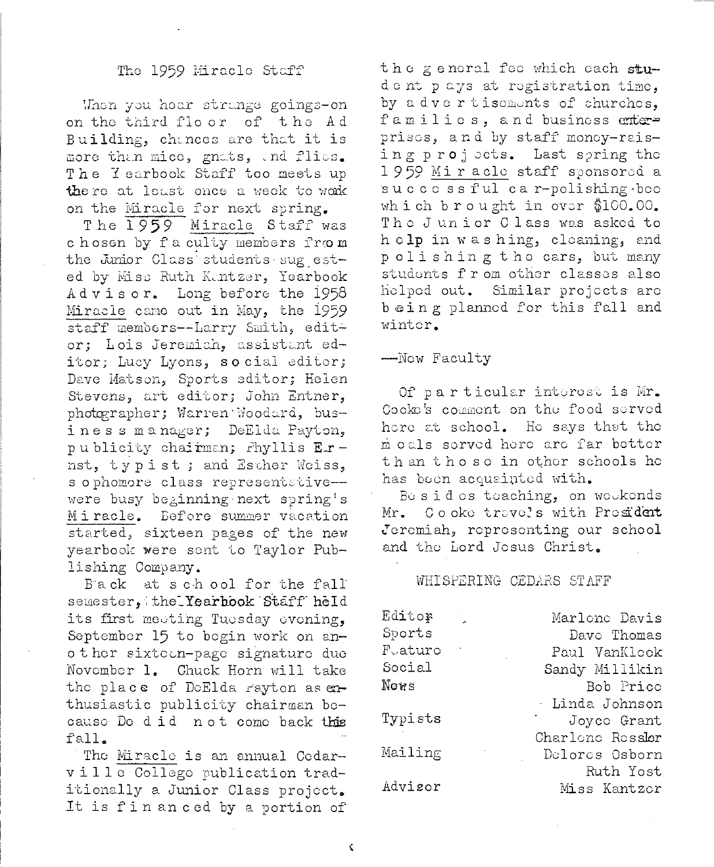#### The 1959 Miracle Staff

When you hear strange goings-on on the third floor of the Ad Building, chances are that it is more than mice, gnats, and flies. The Yearbook Staff too meets up there at least once a week to work on the Miracle for next spring.

The 1959 Miracle Staff was chosen by faculty members from the Junior Class students sug ested by Miss Ruth Kantzer, Yearbook Advisor. Long before the 1958 Miracle came out in May, the 1959 staff members--Larry Smith, editor; Lois Jeremich, assistant editor; Lucy Lyons, so cial editor; Dave Matson, Sports editor; Helen Stevens, art editor; John Entner, photographer; Warren Woodard, business manager; DeElda Payton. publicity chairman; Phyllis Ernst, typist; and Esther Weiss, s ophomore class representative-were busy beginning next spring's Miracle. Before summer vacation started, sixteen pages of the new yearbook were sent to Taylor Publishing Company.

Back at school for the fall semester, the Yearhook Staff held its first meeting Tuesday evening, September 15 to begin work on another sixtetn-page signature due November 1. Chuck Horn will take the place of DeElda rayton as exthusiastic publicity chairman because De did not come back this fall.

The Miracle is an annual Cedarville College publication traditionally a Junior Class project. It is fin an ced by a portion of the general fee which each student pays at registration time, by a dvertisements of churches, families, and business enterprises, and by staff money-raising projects. Last spring the 1959 Miraclo staff sponsored a successful car-polishing bee which brought in over \$100.00. The Junior Class was asked to h clp in washing, cleaning, and polishing the cars, but many students from other classes also helped out. Similar projects are being planned for this fall and winter.

--Now Faculty

Of particular interest is Mr. Cooke's comment on the food served here at school. He says that the meals served here are far better th an those in other schools he has been acquainted with.

Besides teaching, on weekends Cooke travels with President Mr. Jeremiah, representing our school and the Lord Jesus Christ.

#### WHISPERING CEDARS STAFF

| Editor  |               | Marlono Davis    |
|---------|---------------|------------------|
| Sports  |               | Davo Thomas      |
| Fuaturo | $\mathcal{A}$ | Paul VanKlock    |
| Social  |               | Sandy Millikin   |
| Nows    |               | Bob Prico        |
|         |               | · Linda Johnson  |
| Typists |               | Joyce Grant      |
|         |               | Charlono Rossler |
| Mailing |               | Delores Osborn   |
|         |               | Ruth Yost        |
| Advisor |               | Miss Kantzor     |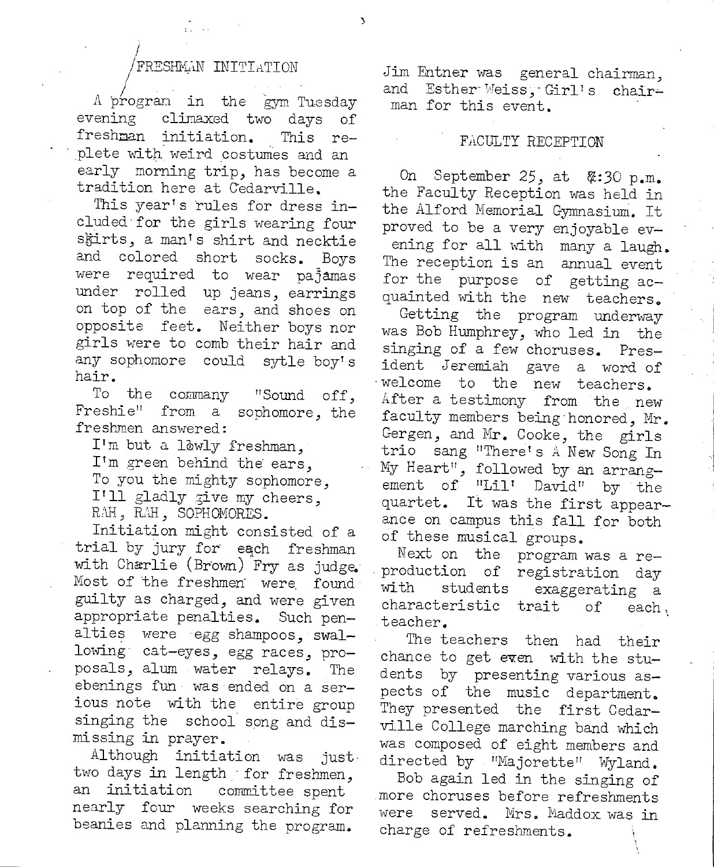#### FRESHMAN INITIATION

I

A program in the gym Tuesday evening climaxed two days of freshman initiation. This re plete with weird costumes and an early morning trip, has become a tradition here at C'edarville.

This year's rules for dress included· for the girls wearing four skirts, a man's shirt and necktie and colored short socks. Boys were required to wear pajamas under rolled up jeans, earrings on top of the ears, and shoes on opposite feet. Neither boys nor girls were to comb their hair and any sophomore could sytle boy's hair.

To the commany "Sound off, Freshie" from a sophomore, the freshmen answered:

I'm but a lowly freshman, I'm green behind the ears, To you the mighty sophomore, I'll gladly give my cheers, RAH, RAH, SOPHOMORES.

Initiation might consisted of <sup>a</sup> trial by jury for each freshman with Charlie (Brown) Fry as judge. Most of the freshmen were found guilty as charged, and were given appropriate penalties. Such penalties were egg shampoos, swallowing cat-eyes, egg races, proposals, alum water relays. The ebenings fun was ended on a serious note with the entire group singing the school song and dismissing in prayer.

Although initiation was just· two days in length for freshmen, an initiation committee spent nearly four weeks searching for beanies and planning the program.

Jim Entner was general chairman, and Esther Weiss, Girl's chairman for this event.

#### FACULTY RECEPTION

On ,September 25, at 8/::30 p.m .. the Faculty Reception was held in the Alford Memorial Gymnasium. It proved to be a very enjoyable evening for all with many a laugh. The reception is an annual event for the purpose of getting acquainted with the new teachers.

Getting the program underway was Bob Humphrey, who led in the singing of a few choruses. President Jeremiah gave a word of ·welcome to the new teachers. After a testimony from the new faculty members being honored, Mr.<br>Gergen, and Mr. Cooke, the girls trio sang "There's A New Song In My Heart", followed by an arrangement of "Lil' David" by the quartet. It was the first appearance on campus this fall for both of these musical groups.

Next on the program was a re- . production of registration day with students exaggerating <sup>a</sup> characteristic trait of each, teacher.

The teachers then had their chance to get even with the students by presenting various aspects of the music department. They presented the first Cedarville College marching band which was composed of eight members and directed by "Majorette" Wyland.

Bob again led in the singing of more choruses before refreshments were served. Mrs. Maddox was in charge of refreshments.

)